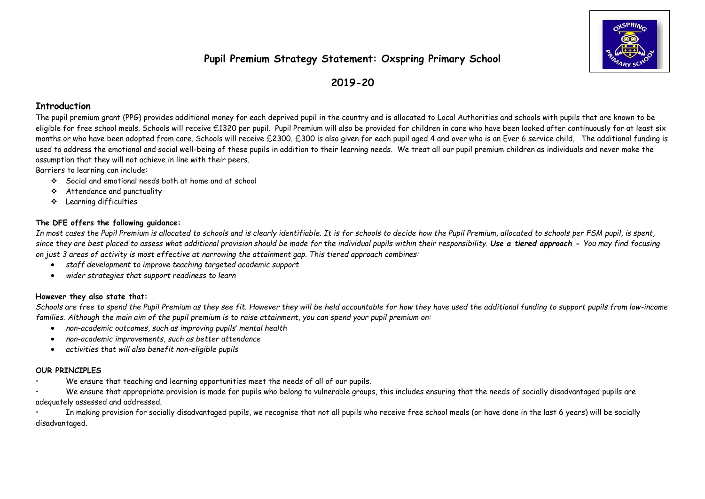# **Pupil Premium Strategy Statement: Oxspring Primary School**



## **2019-20**

#### **Introduction**

The pupil premium grant (PPG) provides additional money for each deprived pupil in the country and is allocated to Local Authorities and schools with pupils that are known to be eligible for free school meals. Schools will receive £1320 per pupil. Pupil Premium will also be provided for children in care who have been looked after continuously for at least six months or who have been adopted from care. Schools will receive £2300. £300 is also given for each pupil aged 4 and over who is an Ever 6 service child. The additional funding is used to address the emotional and social well-being of these pupils in addition to their learning needs. We treat all our pupil premium children as individuals and never make the assumption that they will not achieve in line with their peers.

Barriers to learning can include:

- Social and emotional needs both at home and at school
- Attendance and punctuality
- Learning difficulties

### **The DFE offers the following guidance:**

*In most cases the Pupil Premium is allocated to schools and is clearly identifiable. It is for schools to decide how the Pupil Premium, allocated to schools per FSM pupil, is spent, since they are best placed to assess what additional provision should be made for the individual pupils within their responsibility. Use a tiered approach - You may find focusing on just 3 areas of activity is most effective at narrowing the attainment gap. This tiered approach combines:*

- *staff development to improve teaching targeted academic support*
- *wider strategies that support readiness to learn*

#### **However they also state that:**

*Schools are free to spend the Pupil Premium as they see fit. However they will be held accountable for how they have used the additional funding to support pupils from low-income families. Although the main aim of the pupil premium is to raise attainment, you can spend your pupil premium on:*

- *non-academic outcomes, such as improving pupils' mental health*
- *non-academic improvements, such as better attendance*
- *activities that will also benefit non-eligible pupils*

#### **OUR PRINCIPLES**

• We ensure that teaching and learning opportunities meet the needs of all of our pupils.

• We ensure that appropriate provision is made for pupils who belong to vulnerable groups, this includes ensuring that the needs of socially disadvantaged pupils are adequately assessed and addressed.

In making provision for socially disadvantaged pupils, we recognise that not all pupils who receive free school meals (or have done in the last 6 years) will be socially disadvantaged.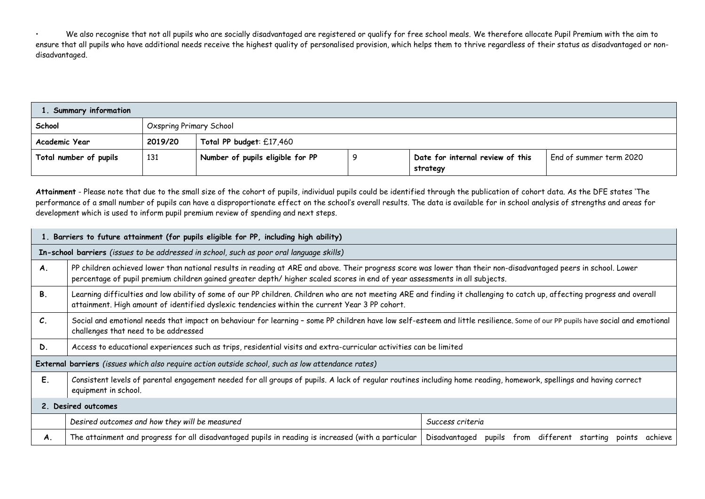• We also recognise that not all pupils who are socially disadvantaged are registered or qualify for free school meals. We therefore allocate Pupil Premium with the aim to ensure that all pupils who have additional needs receive the highest quality of personalised provision, which helps them to thrive regardless of their status as disadvantaged or nondisadvantaged.

| <b>Summary information</b> |                         |                                  |  |                                              |                         |  |  |
|----------------------------|-------------------------|----------------------------------|--|----------------------------------------------|-------------------------|--|--|
| School                     | Oxspring Primary School |                                  |  |                                              |                         |  |  |
| Academic Year              | 2019/20                 | Total PP budget: £17,460         |  |                                              |                         |  |  |
| Total number of pupils     | 131                     | Number of pupils eligible for PP |  | Date for internal review of this<br>strategy | End of summer term 2020 |  |  |

**Attainment** - Please note that due to the small size of the cohort of pupils, individual pupils could be identified through the publication of cohort data. As the DFE states 'The performance of a small number of pupils can have a disproportionate effect on the school's overall results. The data is available for in school analysis of strengths and areas for development which is used to inform pupil premium review of spending and next steps.

|                 | 1. Barriers to future attainment (for pupils eligible for PP, including high ability)                                                                                                                                                                                                           |                                                                      |  |  |  |  |  |
|-----------------|-------------------------------------------------------------------------------------------------------------------------------------------------------------------------------------------------------------------------------------------------------------------------------------------------|----------------------------------------------------------------------|--|--|--|--|--|
|                 | In-school barriers (issues to be addressed in school, such as poor oral language skills)                                                                                                                                                                                                        |                                                                      |  |  |  |  |  |
| <b>A.</b>       | PP children achieved lower than national results in reading at ARE and above. Their progress score was lower than their non-disadvantaged peers in school. Lower<br>percentage of pupil premium children gained greater depth/ higher scaled scores in end of year assessments in all subjects. |                                                                      |  |  |  |  |  |
| <b>B.</b>       | Learning difficulties and low ability of some of our PP children. Children who are not meeting ARE and finding it challenging to catch up, affecting progress and overall<br>attainment. High amount of identified dyslexic tendencies within the current Year 3 PP cohort.                     |                                                                      |  |  |  |  |  |
| $\mathcal{C}$ . | Social and emotional needs that impact on behaviour for learning - some PP children have low self-esteem and little resilience. Some of our PP pupils have social and emotional<br>challenges that need to be addressed                                                                         |                                                                      |  |  |  |  |  |
| D.              | Access to educational experiences such as trips, residential visits and extra-curricular activities can be limited                                                                                                                                                                              |                                                                      |  |  |  |  |  |
|                 | External barriers (issues which also require action outside school, such as low attendance rates)                                                                                                                                                                                               |                                                                      |  |  |  |  |  |
| Ε.              | Consistent levels of parental engagement needed for all groups of pupils. A lack of regular routines including home reading, homework, spellings and having correct<br>equipment in school.                                                                                                     |                                                                      |  |  |  |  |  |
|                 | 2. Desired outcomes                                                                                                                                                                                                                                                                             |                                                                      |  |  |  |  |  |
|                 | Desired outcomes and how they will be measured                                                                                                                                                                                                                                                  | Success criteria                                                     |  |  |  |  |  |
| А.              | The attainment and progress for all disadvantaged pupils in reading is increased (with a particular                                                                                                                                                                                             | from different starting points<br>Disadvantaged<br>pupils<br>achieve |  |  |  |  |  |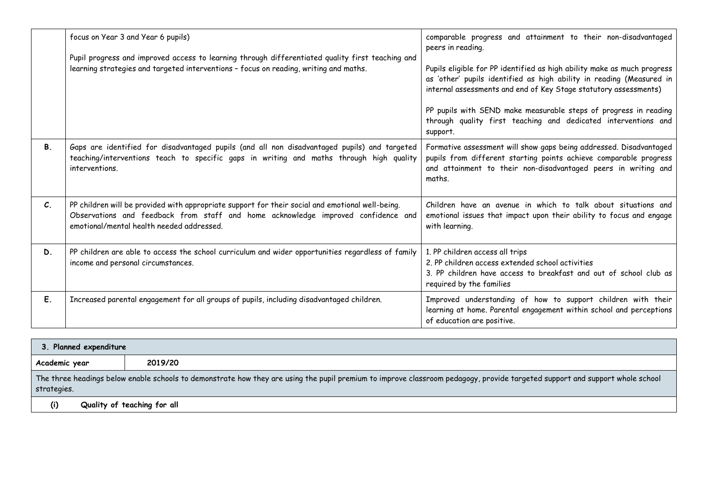|                 | focus on Year 3 and Year 6 pupils)<br>Pupil progress and improved access to learning through differentiated quality first teaching and<br>learning strategies and targeted interventions - focus on reading, writing and maths.    | comparable progress and attainment to their non-disadvantaged<br>peers in reading.<br>Pupils eligible for PP identified as high ability make as much progress<br>as 'other' pupils identified as high ability in reading (Measured in<br>internal assessments and end of Key Stage statutory assessments)<br>PP pupils with SEND make measurable steps of progress in reading<br>through quality first teaching and dedicated interventions and<br>support. |
|-----------------|------------------------------------------------------------------------------------------------------------------------------------------------------------------------------------------------------------------------------------|-------------------------------------------------------------------------------------------------------------------------------------------------------------------------------------------------------------------------------------------------------------------------------------------------------------------------------------------------------------------------------------------------------------------------------------------------------------|
| <b>B.</b>       | Gaps are identified for disadvantaged pupils (and all non disadvantaged pupils) and targeted<br>teaching/interventions teach to specific gaps in writing and maths through high quality<br>interventions.                          | Formative assessment will show gaps being addressed. Disadvantaged<br>pupils from different starting points achieve comparable progress<br>and attainment to their non-disadvantaged peers in writing and<br>maths.                                                                                                                                                                                                                                         |
| $\mathcal{C}$ . | PP children will be provided with appropriate support for their social and emotional well-being.<br>Observations and feedback from staff and home acknowledge improved confidence and<br>emotional/mental health needed addressed. | Children have an avenue in which to talk about situations and<br>emotional issues that impact upon their ability to focus and engage<br>with learning.                                                                                                                                                                                                                                                                                                      |
| D.              | PP children are able to access the school curriculum and wider opportunities regardless of family<br>income and personal circumstances.                                                                                            | 1. PP children access all trips<br>2. PP children access extended school activities<br>3. PP children have access to breakfast and out of school club as<br>required by the families                                                                                                                                                                                                                                                                        |
| Ε.              | Increased parental engagement for all groups of pupils, including disadvantaged children.                                                                                                                                          | Improved understanding of how to support children with their<br>learning at home. Parental engagement within school and perceptions<br>of education are positive.                                                                                                                                                                                                                                                                                           |

| 3. Planned expenditure                                                                                                                                                                      |                             |  |  |  |  |  |  |  |
|---------------------------------------------------------------------------------------------------------------------------------------------------------------------------------------------|-----------------------------|--|--|--|--|--|--|--|
| Academic year                                                                                                                                                                               | 2019/20                     |  |  |  |  |  |  |  |
| The three headings below enable schools to demonstrate how they are using the pupil premium to improve classroom pedagogy, provide targeted support and support whole school<br>strategies. |                             |  |  |  |  |  |  |  |
| (i)                                                                                                                                                                                         | Quality of teaching for all |  |  |  |  |  |  |  |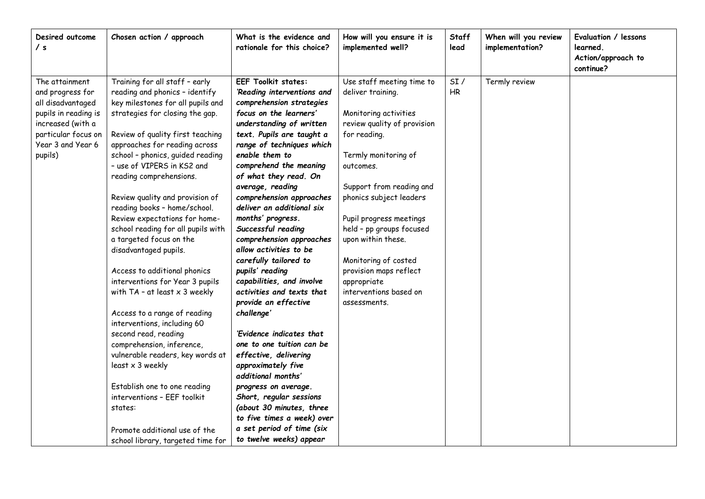| Desired outcome<br>/ s                                                                                                                                      | Chosen action / approach                                                                                                                                                                                                                                                                                                                                                                                                                                                                                                                                                                                                                                                                                                                                                                                                                                                                                                                        | What is the evidence and<br>rationale for this choice?                                                                                                                                                                                                                                                                                                                                                                                                                                                                                                                                                                                                                                                                                                                                                                                                                                                 | How will you ensure it is<br>implemented well?                                                                                                                                                                                                                                                                                                                                                             | <b>Staff</b><br>lead | When will you review<br>implementation? | Evaluation / lessons<br>learned.<br>Action/approach to<br>continue? |
|-------------------------------------------------------------------------------------------------------------------------------------------------------------|-------------------------------------------------------------------------------------------------------------------------------------------------------------------------------------------------------------------------------------------------------------------------------------------------------------------------------------------------------------------------------------------------------------------------------------------------------------------------------------------------------------------------------------------------------------------------------------------------------------------------------------------------------------------------------------------------------------------------------------------------------------------------------------------------------------------------------------------------------------------------------------------------------------------------------------------------|--------------------------------------------------------------------------------------------------------------------------------------------------------------------------------------------------------------------------------------------------------------------------------------------------------------------------------------------------------------------------------------------------------------------------------------------------------------------------------------------------------------------------------------------------------------------------------------------------------------------------------------------------------------------------------------------------------------------------------------------------------------------------------------------------------------------------------------------------------------------------------------------------------|------------------------------------------------------------------------------------------------------------------------------------------------------------------------------------------------------------------------------------------------------------------------------------------------------------------------------------------------------------------------------------------------------------|----------------------|-----------------------------------------|---------------------------------------------------------------------|
| The attainment<br>and progress for<br>all disadvantaged<br>pupils in reading is<br>increased (with a<br>particular focus on<br>Year 3 and Year 6<br>pupils) | Training for all staff - early<br>reading and phonics - identify<br>key milestones for all pupils and<br>strategies for closing the gap.<br>Review of quality first teaching<br>approaches for reading across<br>school - phonics, guided reading<br>- use of VIPERS in KS2 and<br>reading comprehensions.<br>Review quality and provision of<br>reading books - home/school.<br>Review expectations for home-<br>school reading for all pupils with<br>a targeted focus on the<br>disadvantaged pupils.<br>Access to additional phonics<br>interventions for Year 3 pupils<br>with $TA - at least \times 3$ weekly<br>Access to a range of reading<br>interventions, including 60<br>second read, reading<br>comprehension, inference,<br>vulnerable readers, key words at<br>least x 3 weekly<br>Establish one to one reading<br>interventions - EEF toolkit<br>states:<br>Promote additional use of the<br>school library, targeted time for | <b>EEF Toolkit states:</b><br>'Reading interventions and<br>comprehension strategies<br>focus on the learners'<br>understanding of written<br>text. Pupils are taught a<br>range of techniques which<br>enable them to<br>comprehend the meaning<br>of what they read. On<br>average, reading<br>comprehension approaches<br>deliver an additional six<br>months' progress.<br>Successful reading<br>comprehension approaches<br>allow activities to be<br>carefully tailored to<br>pupils' reading<br>capabilities, and involve<br>activities and texts that<br>provide an effective<br>challenge'<br>'Evidence indicates that<br>one to one tuition can be<br>effective, delivering<br>approximately five<br>additional months'<br>progress on average.<br>Short, regular sessions<br>(about 30 minutes, three<br>to five times a week) over<br>a set period of time (six<br>to twelve weeks) appear | Use staff meeting time to<br>deliver training.<br>Monitoring activities<br>review quality of provision<br>for reading.<br>Termly monitoring of<br>outcomes.<br>Support from reading and<br>phonics subject leaders<br>Pupil progress meetings<br>held - pp groups focused<br>upon within these.<br>Monitoring of costed<br>provision maps reflect<br>appropriate<br>interventions based on<br>assessments. | SI/<br>HR            | Termly review                           |                                                                     |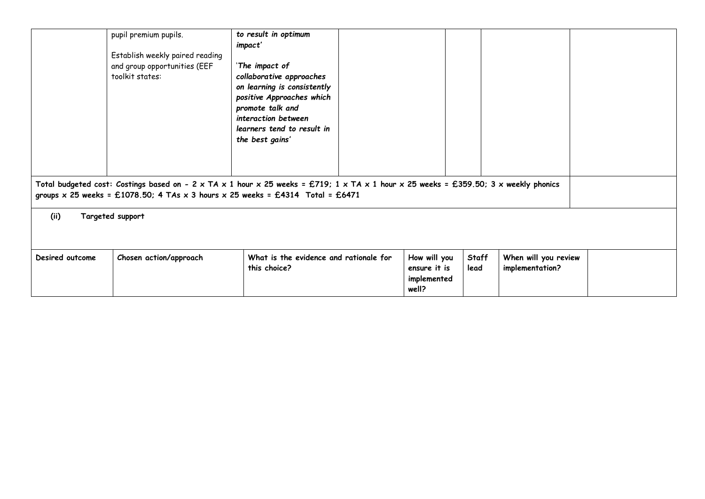|                 | pupil premium pupils.<br>Establish weekly paired reading<br>and group opportunities (EEF<br>toolkit states:                                                                                                                                 | to result in optimum<br>impact'<br>'The impact of<br>collaborative approaches<br>on learning is consistently<br>positive Approaches which<br>promote talk and<br>interaction between<br>learners tend to result in<br>the best gains' |  |                                                      |                      |                                         |  |  |
|-----------------|---------------------------------------------------------------------------------------------------------------------------------------------------------------------------------------------------------------------------------------------|---------------------------------------------------------------------------------------------------------------------------------------------------------------------------------------------------------------------------------------|--|------------------------------------------------------|----------------------|-----------------------------------------|--|--|
|                 | Total budgeted cost: Costings based on - 2 x TA x 1 hour x 25 weeks = £719; 1 x TA x 1 hour x 25 weeks = £359.50; 3 x weekly phonics<br>groups $\times$ 25 weeks = £1078.50; 4 TAs $\times$ 3 hours $\times$ 25 weeks = £4314 Total = £6471 |                                                                                                                                                                                                                                       |  |                                                      |                      |                                         |  |  |
| (ii)            | Targeted support                                                                                                                                                                                                                            |                                                                                                                                                                                                                                       |  |                                                      |                      |                                         |  |  |
| Desired outcome | Chosen action/approach                                                                                                                                                                                                                      | What is the evidence and rationale for<br>this choice?                                                                                                                                                                                |  | How will you<br>ensure it is<br>implemented<br>well? | <b>Staff</b><br>lead | When will you review<br>implementation? |  |  |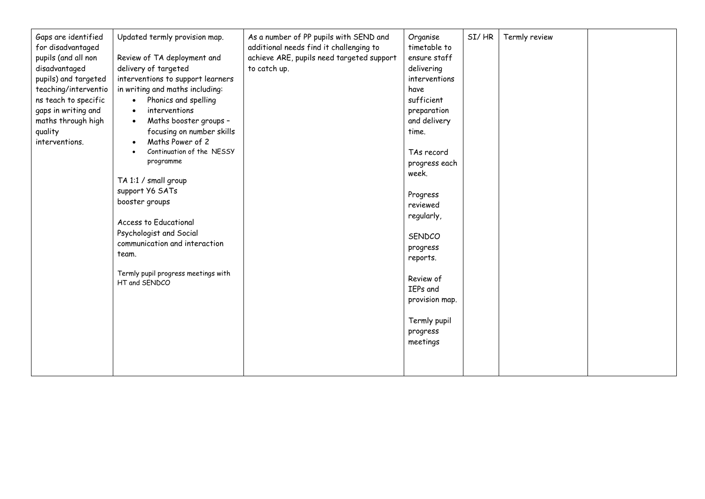| Gaps are identified<br>for disadvantaged<br>pupils (and all non<br>disadvantaged<br>pupils) and targeted<br>teaching/interventio<br>ns teach to specific<br>gaps in writing and<br>maths through high<br>quality<br>interventions. | Updated termly provision map.<br>Review of TA deployment and<br>delivery of targeted<br>interventions to support learners<br>in writing and maths including:<br>Phonics and spelling<br>$\bullet$<br>interventions<br>$\bullet$<br>Maths booster groups -<br>$\bullet$<br>focusing on number skills<br>Maths Power of 2<br>Continuation of the NESSY<br>programme<br>TA 1:1 / small group<br>support Y6 SATs<br>booster groups<br>Access to Educational<br>Psychologist and Social<br>communication and interaction<br>team.<br>Termly pupil progress meetings with<br>HT and SENDCO | As a number of PP pupils with SEND and<br>additional needs find it challenging to<br>achieve ARE, pupils need targeted support<br>to catch up. | Organise<br>timetable to<br>ensure staff<br>delivering<br>interventions<br>have<br>sufficient<br>preparation<br>and delivery<br>time.<br>TAs record<br>progress each<br>week.<br>Progress<br>reviewed<br>regularly,<br>SENDCO<br>progress<br>reports.<br>Review of<br>IEPs and<br>provision map.<br>Termly pupil<br>progress<br>meetings | SI/HR | Termly review |  |
|------------------------------------------------------------------------------------------------------------------------------------------------------------------------------------------------------------------------------------|--------------------------------------------------------------------------------------------------------------------------------------------------------------------------------------------------------------------------------------------------------------------------------------------------------------------------------------------------------------------------------------------------------------------------------------------------------------------------------------------------------------------------------------------------------------------------------------|------------------------------------------------------------------------------------------------------------------------------------------------|------------------------------------------------------------------------------------------------------------------------------------------------------------------------------------------------------------------------------------------------------------------------------------------------------------------------------------------|-------|---------------|--|
|------------------------------------------------------------------------------------------------------------------------------------------------------------------------------------------------------------------------------------|--------------------------------------------------------------------------------------------------------------------------------------------------------------------------------------------------------------------------------------------------------------------------------------------------------------------------------------------------------------------------------------------------------------------------------------------------------------------------------------------------------------------------------------------------------------------------------------|------------------------------------------------------------------------------------------------------------------------------------------------|------------------------------------------------------------------------------------------------------------------------------------------------------------------------------------------------------------------------------------------------------------------------------------------------------------------------------------------|-------|---------------|--|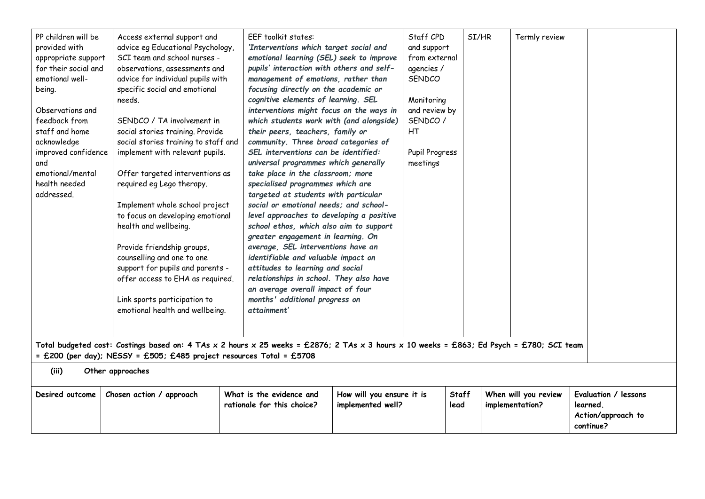| PP children will be<br>provided with<br>appropriate support<br>for their social and<br>emotional well-<br>being.<br>Observations and<br>feedback from<br>staff and home<br>acknowledge<br>improved confidence<br>and<br>emotional/mental<br>health needed<br>addressed. | Access external support and<br>advice eg Educational Psychology,<br>SCI team and school nurses -<br>observations, assessments and<br>advice for individual pupils with<br>specific social and emotional<br>needs.<br>SENDCO / TA involvement in<br>social stories training. Provide<br>social stories training to staff and<br>implement with relevant pupils.<br>Offer targeted interventions as<br>required eg Lego therapy.<br>Implement whole school project<br>to focus on developing emotional<br>health and wellbeing.<br>Provide friendship groups,<br>counselling and one to one<br>support for pupils and parents -<br>offer access to EHA as required.<br>Link sports participation to<br>emotional health and wellbeing.<br>Total budgeted cost: Costings based on: 4 TAs x 2 hours x 25 weeks = £2876; 2 TAs x 3 hours x 10 weeks = £863; Ed Psych = £780; SCI team<br>= £200 (per day); NESSY = £505; £485 project resources Total = £5708 | <b>EEF</b> toolkit states:<br>'Interventions which target social and<br>emotional learning (SEL) seek to improve<br>pupils' interaction with others and self-<br>management of emotions, rather than<br>focusing directly on the academic or<br>cognitive elements of learning. SEL<br>interventions might focus on the ways in<br>which students work with (and alongside)<br>their peers, teachers, family or<br>community. Three broad categories of<br>SEL interventions can be identified:<br>universal programmes which generally<br>take place in the classroom; more<br>specialised programmes which are<br>targeted at students with particular<br>social or emotional needs; and school-<br>level approaches to developing a positive<br>school ethos, which also aim to support<br>greater engagement in learning. On<br>average, SEL interventions have an<br>identifiable and valuable impact on<br>attitudes to learning and social<br>relationships in school. They also have<br>an average overall impact of four<br>months' additional progress on<br>attainment' |                                                | Staff CPD<br>and support<br>from external<br>agencies /<br>SENDCO<br>Monitoring<br>and review by<br>SENDCO /<br><b>HT</b><br>Pupil Progress<br>meetings |               | SI/HR | Termly review                           |          |                                                         |
|-------------------------------------------------------------------------------------------------------------------------------------------------------------------------------------------------------------------------------------------------------------------------|----------------------------------------------------------------------------------------------------------------------------------------------------------------------------------------------------------------------------------------------------------------------------------------------------------------------------------------------------------------------------------------------------------------------------------------------------------------------------------------------------------------------------------------------------------------------------------------------------------------------------------------------------------------------------------------------------------------------------------------------------------------------------------------------------------------------------------------------------------------------------------------------------------------------------------------------------------|------------------------------------------------------------------------------------------------------------------------------------------------------------------------------------------------------------------------------------------------------------------------------------------------------------------------------------------------------------------------------------------------------------------------------------------------------------------------------------------------------------------------------------------------------------------------------------------------------------------------------------------------------------------------------------------------------------------------------------------------------------------------------------------------------------------------------------------------------------------------------------------------------------------------------------------------------------------------------------------------------------------------------------------------------------------------------------|------------------------------------------------|---------------------------------------------------------------------------------------------------------------------------------------------------------|---------------|-------|-----------------------------------------|----------|---------------------------------------------------------|
| (iii)                                                                                                                                                                                                                                                                   | Other approaches                                                                                                                                                                                                                                                                                                                                                                                                                                                                                                                                                                                                                                                                                                                                                                                                                                                                                                                                         |                                                                                                                                                                                                                                                                                                                                                                                                                                                                                                                                                                                                                                                                                                                                                                                                                                                                                                                                                                                                                                                                                    |                                                |                                                                                                                                                         |               |       |                                         |          |                                                         |
| Desired outcome                                                                                                                                                                                                                                                         | Chosen action / approach                                                                                                                                                                                                                                                                                                                                                                                                                                                                                                                                                                                                                                                                                                                                                                                                                                                                                                                                 | What is the evidence and<br>rationale for this choice?                                                                                                                                                                                                                                                                                                                                                                                                                                                                                                                                                                                                                                                                                                                                                                                                                                                                                                                                                                                                                             | How will you ensure it is<br>implemented well? |                                                                                                                                                         | Staff<br>lead |       | When will you review<br>implementation? | learned. | Evaluation / lessons<br>Action/approach to<br>continue? |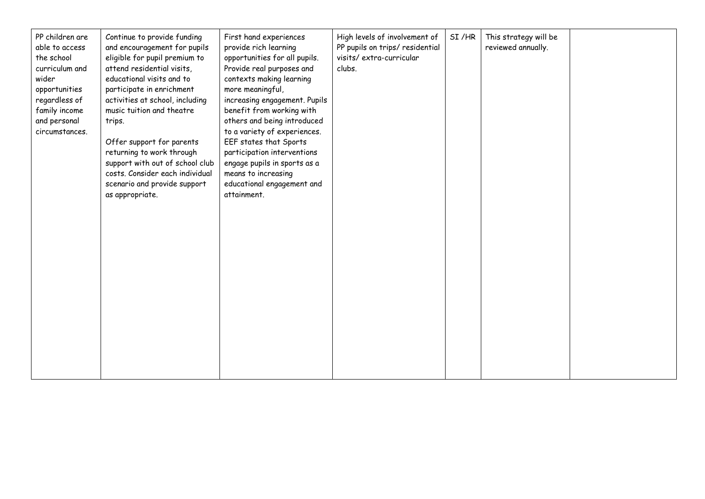| PP children are<br>able to access<br>the school<br>curriculum and<br>wider<br>opportunities<br>regardless of<br>family income<br>and personal<br>circumstances. | Continue to provide funding<br>and encouragement for pupils<br>eligible for pupil premium to<br>attend residential visits,<br>educational visits and to<br>participate in enrichment<br>activities at school, including<br>music tuition and theatre<br>trips.<br>Offer support for parents<br>returning to work through<br>support with out of school club<br>costs. Consider each individual<br>scenario and provide support<br>as appropriate. | First hand experiences<br>provide rich learning<br>opportunities for all pupils.<br>Provide real purposes and<br>contexts making learning<br>more meaningful,<br>increasing engagement. Pupils<br>benefit from working with<br>others and being introduced<br>to a variety of experiences.<br>EEF states that Sports<br>participation interventions<br>engage pupils in sports as a<br>means to increasing<br>educational engagement and<br>attainment. | High levels of involvement of<br>PP pupils on trips/ residential<br>visits/extra-curricular<br>clubs. | SI/HR | This strategy will be<br>reviewed annually. |  |
|-----------------------------------------------------------------------------------------------------------------------------------------------------------------|---------------------------------------------------------------------------------------------------------------------------------------------------------------------------------------------------------------------------------------------------------------------------------------------------------------------------------------------------------------------------------------------------------------------------------------------------|---------------------------------------------------------------------------------------------------------------------------------------------------------------------------------------------------------------------------------------------------------------------------------------------------------------------------------------------------------------------------------------------------------------------------------------------------------|-------------------------------------------------------------------------------------------------------|-------|---------------------------------------------|--|
|-----------------------------------------------------------------------------------------------------------------------------------------------------------------|---------------------------------------------------------------------------------------------------------------------------------------------------------------------------------------------------------------------------------------------------------------------------------------------------------------------------------------------------------------------------------------------------------------------------------------------------|---------------------------------------------------------------------------------------------------------------------------------------------------------------------------------------------------------------------------------------------------------------------------------------------------------------------------------------------------------------------------------------------------------------------------------------------------------|-------------------------------------------------------------------------------------------------------|-------|---------------------------------------------|--|